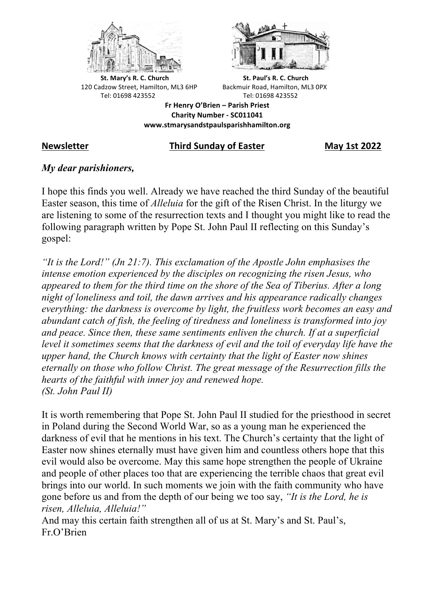



**St.** Mary's R. C. Church St. Paul's R. C. Church 120 Cadzow Street, Hamilton, ML3 6HP Backmuir Road, Hamilton, ML3 0PX Tel: 01698 423552 Tel: 01698 423552

**Fr Henry O'Brien – Parish Priest Charity Number - SC011041 www.stmarysandstpaulsparishhamilton.org**

#### **Newsletter Third Sunday of Easter May 1st 2022**

### *My dear parishioners,*

I hope this finds you well. Already we have reached the third Sunday of the beautiful Easter season, this time of *Alleluia* for the gift of the Risen Christ. In the liturgy we are listening to some of the resurrection texts and I thought you might like to read the following paragraph written by Pope St. John Paul II reflecting on this Sunday's gospel:

*"It is the Lord!" (Jn 21:7). This exclamation of the Apostle John emphasises the intense emotion experienced by the disciples on recognizing the risen Jesus, who appeared to them for the third time on the shore of the Sea of Tiberius. After a long night of loneliness and toil, the dawn arrives and his appearance radically changes everything: the darkness is overcome by light, the fruitless work becomes an easy and abundant catch of fish, the feeling of tiredness and loneliness is transformed into joy and peace. Since then, these same sentiments enliven the church. If at a superficial level it sometimes seems that the darkness of evil and the toil of everyday life have the upper hand, the Church knows with certainty that the light of Easter now shines eternally on those who follow Christ. The great message of the Resurrection fills the hearts of the faithful with inner joy and renewed hope. (St. John Paul II)*

It is worth remembering that Pope St. John Paul II studied for the priesthood in secret in Poland during the Second World War, so as a young man he experienced the darkness of evil that he mentions in his text. The Church's certainty that the light of Easter now shines eternally must have given him and countless others hope that this evil would also be overcome. May this same hope strengthen the people of Ukraine and people of other places too that are experiencing the terrible chaos that great evil brings into our world. In such moments we join with the faith community who have gone before us and from the depth of our being we too say, *"It is the Lord, he is risen, Alleluia, Alleluia!"*

And may this certain faith strengthen all of us at St. Mary's and St. Paul's, Fr.O'Brien